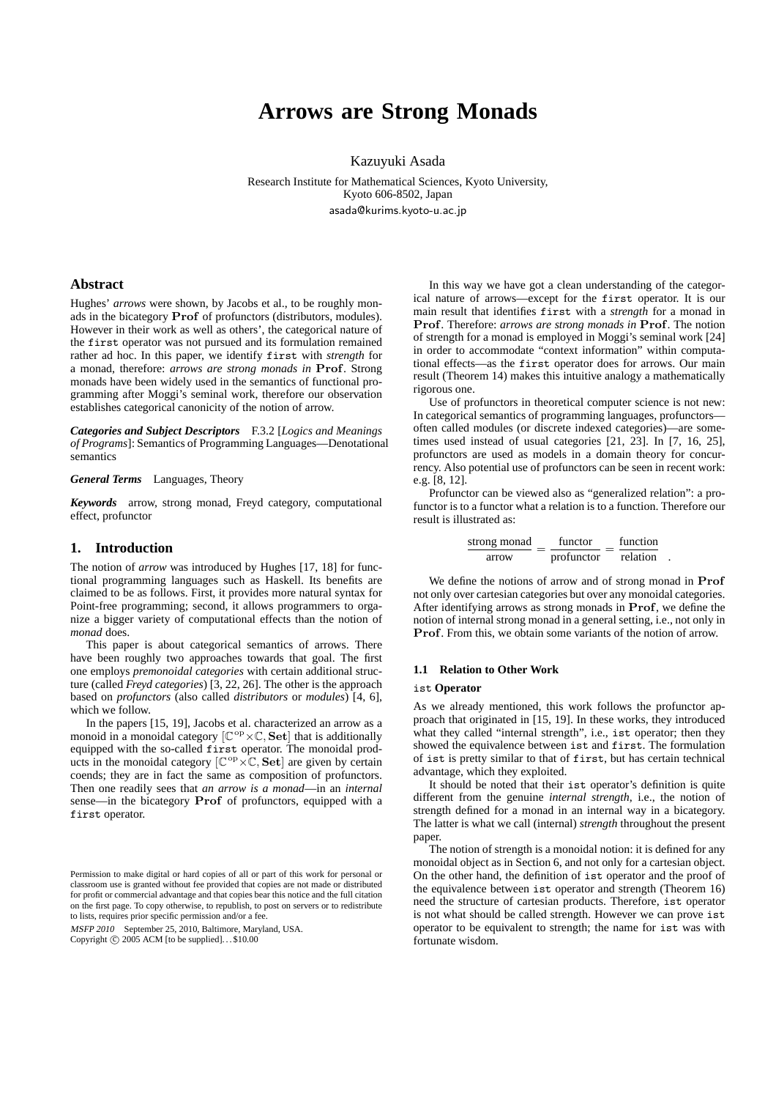# **Arrows are Strong Monads**

Kazuyuki Asada

Research Institute for Mathematical Sciences, Kyoto University, Kyoto 606-8502, Japan asada@kurims.kyoto-u.ac.jp

## **Abstract**

Hughes' *arrows* were shown, by Jacobs et al., to be roughly monads in the bicategory **Prof** of profunctors (distributors, modules). However in their work as well as others', the categorical nature of the first operator was not pursued and its formulation remained rather ad hoc. In this paper, we identify first with *strength* for a monad, therefore: *arrows are strong monads in* **Prof**. Strong monads have been widely used in the semantics of functional programming after Moggi's seminal work, therefore our observation establishes categorical canonicity of the notion of arrow.

*Categories and Subject Descriptors* F.3.2 [*Logics and Meanings of Programs*]: Semantics of Programming Languages—Denotational semantics

*General Terms* Languages, Theory

*Keywords* arrow, strong monad, Freyd category, computational effect, profunctor

# **1. Introduction**

The notion of *arrow* was introduced by Hughes [17, 18] for functional programming languages such as Haskell. Its benefits are claimed to be as follows. First, it provides more natural syntax for Point-free programming; second, it allows programmers to organize a bigger variety of computational effects than the notion of *monad* does.

This paper is about categorical semantics of arrows. There have been roughly two approaches towards that goal. The first one employs *premonoidal categories* with certain additional structure (called *Freyd categories*) [3, 22, 26]. The other is the approach based on *profunctors* (also called *distributors* or *modules*) [4, 6], which we follow.

In the papers [15, 19], Jacobs et al. characterized an arrow as a monoid in a monoidal category [C op*×*C*,* **Set**] that is additionally equipped with the so-called first operator. The monoidal products in the monoidal category  $[\mathbb{C}^{\text{op}} \times \mathbb{C}, \mathbf{Set}]$  are given by certain coends; they are in fact the same as composition of profunctors. Then one readily sees that *an arrow is a monad*—in an *internal* sense—in the bicategory **Prof** of profunctors, equipped with a first operator.

MSFP <sup>2010</sup> September 25, 2010, Baltimore, Maryland, USA.

Copyright  $\circ$  2005 ACM [to be supplied]...\$10.00

In this way we have got a clean understanding of the categorical nature of arrows—except for the first operator. It is our main result that identifies first with a *strength* for a monad in **Prof**. Therefore: *arrows are strong monads in* **Prof**. The notion of strength for a monad is employed in Moggi's seminal work [24] in order to accommodate "context information" within computational effects—as the first operator does for arrows. Our main result (Theorem 14) makes this intuitive analogy a mathematically rigorous one.

Use of profunctors in theoretical computer science is not new: In categorical semantics of programming languages, profunctors often called modules (or discrete indexed categories)—are sometimes used instead of usual categories [21, 23]. In [7, 16, 25], profunctors are used as models in a domain theory for concurrency. Also potential use of profunctors can be seen in recent work: e.g. [8, 12].

Profunctor can be viewed also as "generalized relation": a profunctor is to a functor what a relation is to a function. Therefore our result is illustrated as:

| strong monad | functor    | function |  |
|--------------|------------|----------|--|
| arrow        | profunctor | relation |  |

We define the notions of arrow and of strong monad in **Prof** not only over cartesian categories but over any monoidal categories. After identifying arrows as strong monads in **Prof**, we define the notion of internal strong monad in a general setting, i.e., not only in **Prof**. From this, we obtain some variants of the notion of arrow.

#### **1.1 Relation to Other Work**

#### ist **Operator**

As we already mentioned, this work follows the profunctor approach that originated in [15, 19]. In these works, they introduced what they called "internal strength", i.e., ist operator; then they showed the equivalence between ist and first. The formulation of ist is pretty similar to that of first, but has certain technical advantage, which they exploited.

It should be noted that their ist operator's definition is quite different from the genuine *internal strength*, i.e., the notion of strength defined for a monad in an internal way in a bicategory. The latter is what we call (internal) *strength* throughout the present paper.

The notion of strength is a monoidal notion: it is defined for any monoidal object as in Section 6, and not only for a cartesian object. On the other hand, the definition of ist operator and the proof of the equivalence between ist operator and strength (Theorem 16) need the structure of cartesian products. Therefore, ist operator is not what should be called strength. However we can prove ist operator to be equivalent to strength; the name for ist was with fortunate wisdom.

Permission to make digital or hard copies of all or part of this work for personal or classroom use is granted without fee provided that copies are not made or distributed for profit or commercial advantage and that copies bear this notice and the full citation on the first page. To copy otherwise, to republish, to post on servers or to redistribute to lists, requires prior specific permission and/or a fee.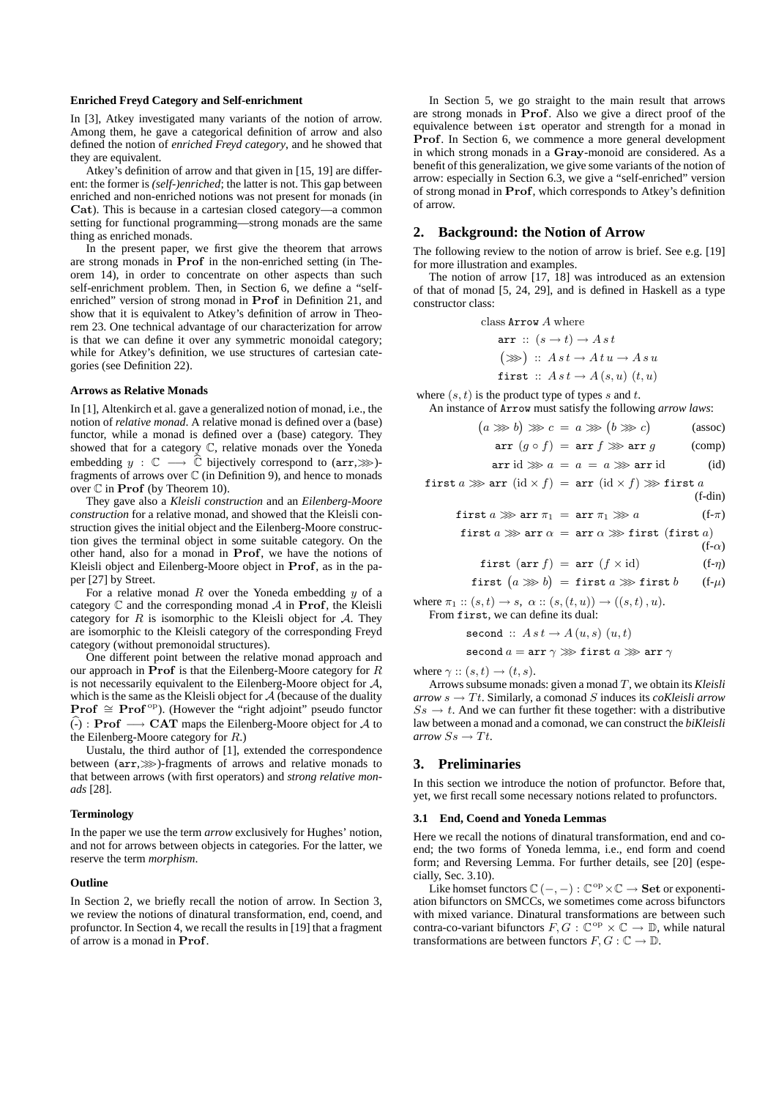#### **Enriched Freyd Category and Self-enrichment**

In [3], Atkey investigated many variants of the notion of arrow. Among them, he gave a categorical definition of arrow and also defined the notion of *enriched Freyd category*, and he showed that they are equivalent.

Atkey's definition of arrow and that given in [15, 19] are different: the former is *(self-)enriched*; the latter is not. This gap between enriched and non-enriched notions was not present for monads (in **Cat**). This is because in a cartesian closed category—a common setting for functional programming—strong monads are the same thing as enriched monads.

In the present paper, we first give the theorem that arrows are strong monads in **Prof** in the non-enriched setting (in Theorem 14), in order to concentrate on other aspects than such self-enrichment problem. Then, in Section 6, we define a "selfenriched" version of strong monad in **Prof** in Definition 21, and show that it is equivalent to Atkey's definition of arrow in Theorem 23. One technical advantage of our characterization for arrow is that we can define it over any symmetric monoidal category; while for Atkey's definition, we use structures of cartesian categories (see Definition 22).

#### **Arrows as Relative Monads**

In [1], Altenkirch et al. gave a generalized notion of monad, i.e., the notion of *relative monad*. A relative monad is defined over a (base) functor, while a monad is defined over a (base) category. They showed that for a category C, relative monads over the Yoneda embedding *y* :  $\mathbb{C}$  →  $\hat{\mathbb{C}}$  bijectively correspond to (arr, >>>> fragments of arrows over  $\mathbb C$  (in Definition 9), and hence to monads over C in **Prof** (by Theorem 10).

They gave also a *Kleisli construction* and an *Eilenberg-Moore construction* for a relative monad, and showed that the Kleisli construction gives the initial object and the Eilenberg-Moore construction gives the terminal object in some suitable category. On the other hand, also for a monad in **Prof**, we have the notions of Kleisli object and Eilenberg-Moore object in **Prof**, as in the paper [27] by Street.

For a relative monad *R* over the Yoneda embedding *y* of a category C and the corresponding monad *A* in **Prof**, the Kleisli category for  $R$  is isomorphic to the Kleisli object for  $A$ . They are isomorphic to the Kleisli category of the corresponding Freyd category (without premonoidal structures).

One different point between the relative monad approach and our approach in **Prof** is that the Eilenberg-Moore category for *R* is not necessarily equivalent to the Eilenberg-Moore object for *A*, which is the same as the Kleisli object for *A* (because of the duality **Prof**  $\cong$  **Prof**<sup>op</sup>). (However the "right adjoint" pseudo functor (-)b : **Prof** *−→* **CAT** maps the Eilenberg-Moore object for *A* to the Eilenberg-Moore category for *R*.)

Uustalu, the third author of [1], extended the correspondence between (arr,*>>>*)-fragments of arrows and relative monads to that between arrows (with first operators) and *strong relative monads* [28].

#### **Terminology**

In the paper we use the term *arrow* exclusively for Hughes' notion, and not for arrows between objects in categories. For the latter, we reserve the term *morphism*.

## **Outline**

In Section 2, we briefly recall the notion of arrow. In Section 3, we review the notions of dinatural transformation, end, coend, and profunctor. In Section 4, we recall the results in [19] that a fragment of arrow is a monad in **Prof**.

In Section 5, we go straight to the main result that arrows are strong monads in **Prof**. Also we give a direct proof of the equivalence between ist operator and strength for a monad in **Prof**. In Section 6, we commence a more general development in which strong monads in a **Gray**-monoid are considered. As a benefit of this generalization, we give some variants of the notion of arrow: especially in Section 6.3, we give a "self-enriched" version of strong monad in **Prof**, which corresponds to Atkey's definition of arrow.

#### **2. Background: the Notion of Arrow**

The following review to the notion of arrow is brief. See e.g. [19] for more illustration and examples.

The notion of arrow [17, 18] was introduced as an extension of that of monad [5, 24, 29], and is defined in Haskell as a type constructor class:

class Arrow *A* where

$$
\begin{aligned}\n\mathbf{arr} :: (s \rightarrow t) \rightarrow A \, st \\
(\ggg) :: A \, st \rightarrow A \, t \, u \rightarrow A \, s \, u \\
\mathbf{first} :: A \, st \rightarrow A \, (s, u) \, (t, u)\n\end{aligned}
$$

where (*s, t*) is the product type of types *s* and *t*. An instance of Arrow must satisfy the following *arrow laws*:

$$
(a \ggg b) \ggg c = a \ggg (b \ggg c) \qquad \text{(assoc)}
$$

$$
\texttt{arr} \ (g \circ f) \ = \ \texttt{arr} \ f \ggg \ \texttt{arr} \ g \qquad \qquad \text{(comp)}
$$

$$
\operatorname{arr} \operatorname{id} \ggg a = a = a \ggg \operatorname{arr} \operatorname{id} \tag{id}
$$

$$
first a \ggarr (\text{id} \times f) = arr (\text{id} \times f) \ggr first a
$$
\n
$$
(f\text{-dim})
$$

first 
$$
a \ggarctan \pi_1 = \text{arr } \pi_1 \ggg a
$$
 (f- $\pi$ )

$$
first a \ggarr a = arr a \gg first (first a)
$$

first (arr 
$$
f
$$
) = arr  $(f \times id)$  (f- $\eta$ )

(f-*α*)

$$
\begin{array}{ccccccccc}\n\mathbf{c} & & & & & & & & & \\
\mathbf{c} & & & & & & & & & \\
\mathbf{c} & & & & & & & & & \\
\mathbf{c} & & & & & & & & & & \\
\mathbf{c} & & & & & & & & & & \\
\mathbf{c} & & & & & & & & & & & \\
\mathbf{c} & & & & & & & & & & & \\
\mathbf{c} & & & & & & & & & & & & \\
\mathbf{c} & & & & & & & & & & & & \\
\mathbf{c} & & & & & & & & & & & & \\
\mathbf{c} & & & & & & & & & & & & \\
\mathbf{c} & & & & & & & & & & & & \\
\mathbf{c} & & & & & & & & & & & & \\
\mathbf{c} & & & & & & & & & & & & & \\
\mathbf{c} & & & & & & & & & & & & & \\
\mathbf{c} & & & & & & & & & & & & & \\
\mathbf{c} & & & & & & & & & & & & & \\
\mathbf{c} & & & & & & & & & & & & & \\
\mathbf{c}
$$

 $\textsf{first} \, (a \ggg b) = \textsf{first} \, a \ggg \, \textsf{first} \, b \qquad \textsf{(f-}\mu)$ 

where  $\pi_1$  ::  $(s, t) \to s$ ,  $\alpha$  ::  $(s, (t, u)) \to ((s, t), u)$ . From first, we can define its dual:

$$
\texttt{second} \ :: \ A \ s \ t \to A \ (u,s) \ (u,t)
$$

$$
\text{second }a = \texttt{arr } \gamma \ggg \text{ first } a \ggg \texttt{arr } \gamma
$$

where  $\gamma$  ::  $(s, t) \rightarrow (t, s)$ .

Arrows subsume monads: given a monad *T*, we obtain its *Kleisli*  $arrow s \rightarrow Tt$ . Similarly, a comonad *S* induces its *coKleisli arrow*  $S_s \rightarrow t$ . And we can further fit these together: with a distributive law between a monad and a comonad, we can construct the *biKleisli*  $arrow$  *Ss*  $\rightarrow$  *Tt.* 

# **3. Preliminaries**

In this section we introduce the notion of profunctor. Before that, yet, we first recall some necessary notions related to profunctors.

#### **3.1 End, Coend and Yoneda Lemmas**

Here we recall the notions of dinatural transformation, end and coend; the two forms of Yoneda lemma, i.e., end form and coend form; and Reversing Lemma. For further details, see [20] (especially, Sec. 3.10).

Like homset functors  $\mathbb{C}$  (−, −) :  $\mathbb{C}^{\text{op}} \times \mathbb{C} \to \mathbf{Set}$  or exponentiation bifunctors on SMCCs, we sometimes come across bifunctors with mixed variance. Dinatural transformations are between such contra-co-variant bifunctors  $F, G : \mathbb{C}^{op} \times \mathbb{C} \to \mathbb{D}$ , while natural transformations are between functors  $F, G : \mathbb{C} \to \mathbb{D}$ .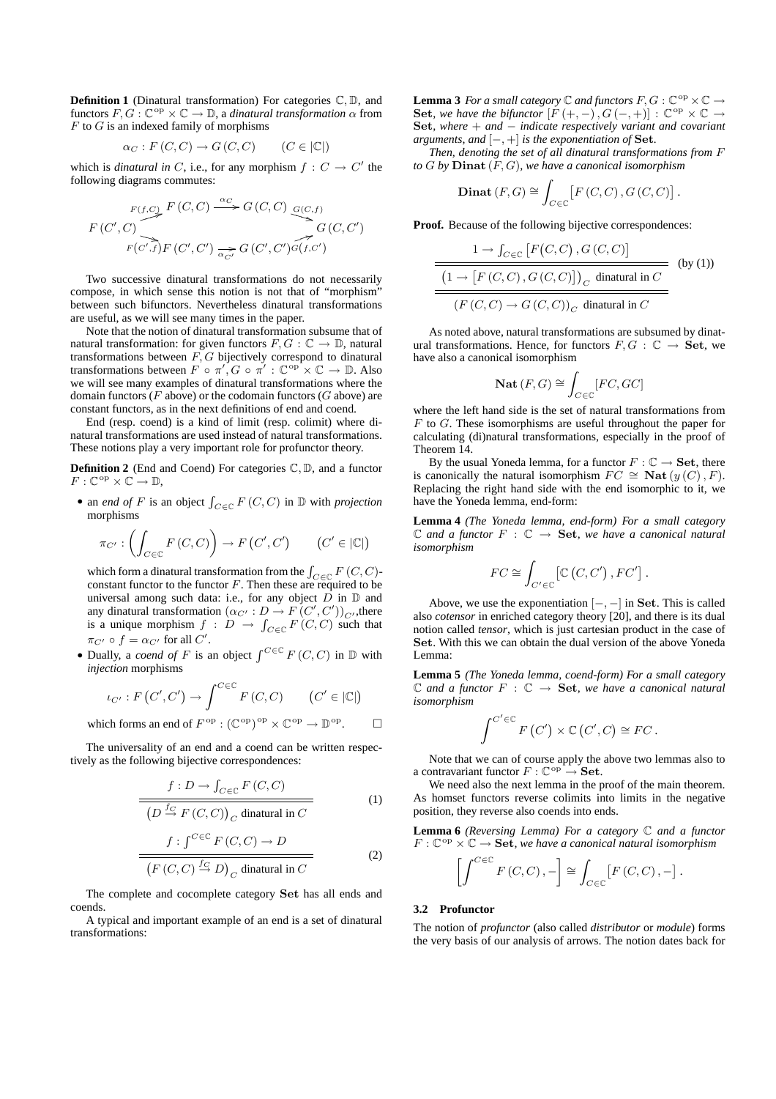**Definition 1** (Dinatural transformation) For categories C*,* D, and functors  $F, G : \mathbb{C}^{\text{op}} \times \mathbb{C} \to \mathbb{D}$ , a *dinatural transformation*  $\alpha$  from *F* to *G* is an indexed family of morphisms

$$
\alpha_C : F(C, C) \to G(C, C) \qquad (C \in |\mathbb{C}|)
$$

which is *dinatural in*  $C$ , i.e., for any morphism  $f : C \to C'$  the following diagrams commutes:

$$
F(C', C)
$$
  
\n
$$
F(C', C)
$$
  
\n
$$
F(C', C)
$$
  
\n
$$
F(C', C)
$$
  
\n
$$
F(C', C)
$$
  
\n
$$
F(C', C')
$$
  
\n
$$
F(C', C')
$$
  
\n
$$
G(C', C')
$$
  
\n
$$
G(C', C')
$$
  
\n
$$
G(C', C')
$$

Two successive dinatural transformations do not necessarily compose, in which sense this notion is not that of "morphism" between such bifunctors. Nevertheless dinatural transformations are useful, as we will see many times in the paper.

Note that the notion of dinatural transformation subsume that of natural transformation: for given functors  $F, G : \mathbb{C} \to \mathbb{D}$ , natural transformations between *F, G* bijectively correspond to dinatural transformations between  $F \circ \pi', G \circ \pi' : \mathbb{C}^{\text{op}} \times \mathbb{C} \to \mathbb{D}$ . Also we will see many examples of dinatural transformations where the domain functors (*F* above) or the codomain functors (*G* above) are constant functors, as in the next definitions of end and coend.

End (resp. coend) is a kind of limit (resp. colimit) where dinatural transformations are used instead of natural transformations. These notions play a very important role for profunctor theory.

**Definition 2** (End and Coend) For categories C*,* D, and a functor  $F: \mathbb{C}^{\mathrm{op}} \times \mathbb{C} \to \mathbb{D}$ ,

*•* an *end of F* is an object ∫ *C∈*C *F* (*C, C*) in D with *projection* morphisms

$$
\pi_{C'} : \left( \int_{C \in \mathbb{C}} F(C, C) \right) \to F(C', C') \qquad (C' \in |\mathbb{C}|)
$$

which form a dinatural transformation from the  $\int_{C \in \mathbb{C}} F(C, C)$ constant functor to the functor  $F$ . Then these are required to be universal among such data: i.e., for any object  $\overrightarrow{D}$  in  $\mathbb D$  and any dinatural transformation  $(\alpha_{C'} : D \to F(C', C'))_{C'}$ , there is a unique morphism  $f : D \to \int_{C \in \mathbb{C}} F(C, C)$  such that  $\pi_{C'} \circ f = \alpha_{C'}$  for all *C'*.

• Dually, a *coend of F* is an object  $\int^{C \in \mathbb{C}} F(C, C)$  in  $\mathbb{D}$  with *injection* morphisms

$$
\iota_{C'} : F(C', C') \to \int^{C \in \mathbb{C}} F(C, C) \qquad (C' \in |\mathbb{C}|)
$$
  
which forms an end of  $F^{\text{op}} : (\mathbb{C}^{\text{op}})^{\text{op}} \times \mathbb{C}^{\text{op}} \to \mathbb{D}^{\text{op}}.$ 

The universality of an end and a coend can be written respectively as the following bijective correspondences:

$$
\frac{f: D \to \int_{C \in \mathbb{C}} F(C, C)}{\left(D \stackrel{f_C}{\to} F(C, C)\right)_C \text{ dinatural in } C} \tag{1}
$$

$$
\frac{f: \int^{C \in \mathbb{C}} F(C, C) \to D}{\left(F(C, C) \stackrel{f_C}{\to} D\right)_C \text{ dinatural in } C}
$$
 (2)

The complete and cocomplete category **Set** has all ends and coends.

A typical and important example of an end is a set of dinatural transformations:

**Lemma 3** *For a small category*  $\mathbb C$  *and functors*  $F, G : \mathbb C^{\text{op}} \times \mathbb C \to$ **Set**, we have the bifunctor  $[F (+, -), G(-, +)] : \mathbb{C}^{\text{op}} \times \mathbb{C} \rightarrow$ **Set***, where* + *and − indicate respectively variant and covariant arguments, and*  $[-,+]$  *is the exponentiation of* **Set***.* 

*Then, denoting the set of all dinatural transformations from F to G by* **Dinat** (*F, G*)*, we have a canonical isomorphism*

$$
\mathbf{Dinat}(F,G) \cong \int_{C \in \mathbb{C}} \left[ F\left(C, C\right), G\left(C, C\right) \right]
$$

*.*

**Proof.** Because of the following bijective correspondences:

$$
\frac{1 \to \int_{C \in \mathbb{C}} [F(C, C), G(C, C)]}{\frac{\left(1 \to [F(C, C), G(C, C)]\right)_C \text{ dinatural in } C}{\left(F(C, C) \to G(C, C)\right)_C \text{ dinatural in } C}}
$$
 (by (1))

As noted above, natural transformations are subsumed by dinatural transformations. Hence, for functors  $F, G : \mathbb{C} \to \mathbf{Set}$ , we have also a canonical isomorphism

$$
\mathbf{Nat}\,(F,G) \cong \int_{C \in \mathbb{C}} [FC,GC]
$$

where the left hand side is the set of natural transformations from *F* to *G*. These isomorphisms are useful throughout the paper for calculating (di)natural transformations, especially in the proof of Theorem 14.

By the usual Yoneda lemma, for a functor  $F : \mathbb{C} \to \mathbf{Set}$ , there is canonically the natural isomorphism  $FC \cong \textbf{Nat}(y(C), F)$ . Replacing the right hand side with the end isomorphic to it, we have the Yoneda lemma, end-form:

**Lemma 4** *(The Yoneda lemma, end-form) For a small category*  $\mathbb C$  *and a functor*  $F : \mathbb C \to \mathbf{Set}$ *, we have a canonical natural isomorphism*

$$
FC \cong \int_{C' \in \mathbb{C}} \left[ \mathbb{C} \left( C, C' \right), FC' \right].
$$

Above, we use the exponentiation [*−, −*] in **Set**. This is called also *cotensor* in enriched category theory [20], and there is its dual notion called *tensor*, which is just cartesian product in the case of **Set**. With this we can obtain the dual version of the above Yoneda Lemma:

**Lemma 5** *(The Yoneda lemma, coend-form) For a small category*  $\mathbb C$  *and a functor*  $F : \mathbb C \to \mathbf{Set}$ *, we have a canonical natural isomorphism*

$$
\int^{C' \in \mathbb{C}} F(C') \times \mathbb{C}(C', C) \cong FC.
$$

Note that we can of course apply the above two lemmas also to a contravariant functor  $F : \mathbb{C}^{\text{op}} \to \mathbf{Set}$ .

We need also the next lemma in the proof of the main theorem. As homset functors reverse colimits into limits in the negative position, they reverse also coends into ends.

**Lemma 6** *(Reversing Lemma) For a category* C *and a functor*  $F: \mathbb{C}^{\mathrm{op}} \times \mathbb{C} \to \mathbf{Set}$ , we have a canonical natural isomorphism

$$
\left[\int^{C\in\mathbb{C}} F(C,C), -\right] \cong \int_{C\in\mathbb{C}} \left[F\left(C,C\right), -\right].
$$

# **3.2 Profunctor**

 $\overline{1}$ 

The notion of *profunctor* (also called *distributor* or *module*) forms the very basis of our analysis of arrows. The notion dates back for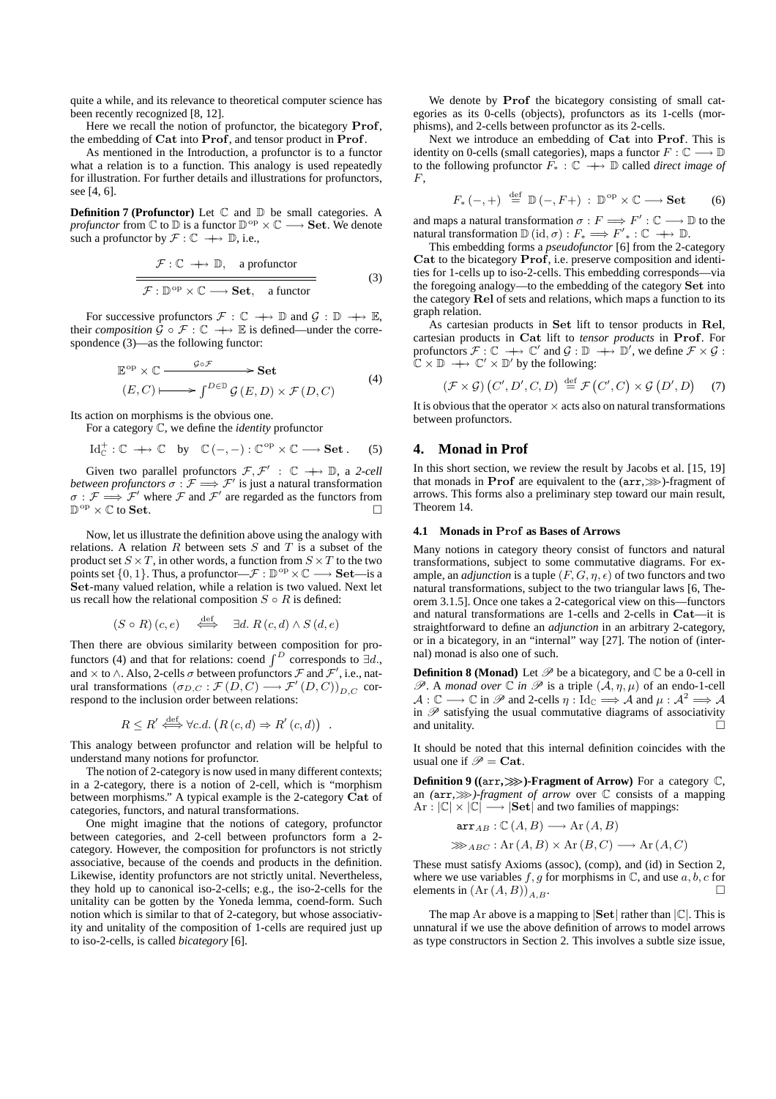quite a while, and its relevance to theoretical computer science has been recently recognized [8, 12].

Here we recall the notion of profunctor, the bicategory **Prof**, the embedding of **Cat** into **Prof**, and tensor product in **Prof**.

As mentioned in the Introduction, a profunctor is to a functor what a relation is to a function. This analogy is used repeatedly for illustration. For further details and illustrations for profunctors, see [4, 6].

**Definition 7 (Profunctor)** Let  $\mathbb C$  and  $\mathbb D$  be small categories. A *profunctor* from ℂ to D is a functor D<sup>op</sup> × ℂ → **Set**. We denote such a profunctor by  $\mathcal{F}: \mathbb{C} \longrightarrow \mathbb{D}$ , i.e.,

$$
\frac{\mathcal{F}: \mathbb{C} \to \mathbb{D}, \quad \text{a profunctor}}{\mathcal{F}: \mathbb{D}^{\text{op}} \times \mathbb{C} \longrightarrow \text{Set}, \quad \text{a functor}} \tag{3}
$$

For successive profunctors  $\mathcal{F}: \mathbb{C} \longrightarrow \mathbb{D}$  and  $\mathcal{G}: \mathbb{D} \longrightarrow \mathbb{E}$ , their *composition*  $\hat{G} \circ \mathcal{F} : \mathbb{C} \to \mathbb{E}$  is defined—under the correspondence (3)—as the following functor:

$$
\mathbb{E}^{\text{op}} \times \mathbb{C} \longrightarrow \text{Set}
$$
  
\n
$$
(E, C) \longmapsto \int^{D \in \mathbb{D}} \mathcal{G}(E, D) \times \mathcal{F}(D, C)
$$
  
\n(4)

Its action on morphisms is the obvious one.

For a category C, we define the *identity* profunctor

$$
\mathrm{Id}_{\mathbb{C}}^+:\mathbb{C}\ \to\mathbb{C}\quad\text{by}\quad\mathbb{C}\left(-,-\right):\mathbb{C}^\mathrm{op}\times\mathbb{C}\longrightarrow\mathbf{Set}\ .\qquad(5)
$$

Given two parallel profunctors  $\mathcal{F}, \mathcal{F}' : \mathbb{C} \longrightarrow \mathbb{D}$ , a 2-cell *between profunctors*  $\sigma : \mathcal{F} \Longrightarrow \mathcal{F}'$  *is just a natural transformation*  $\sigma$  :  $\mathcal{F} \Longrightarrow \mathcal{F}'$  where  $\mathcal F$  and  $\mathcal{F}'$  are regarded as the functors from  $\mathbb{D}^{\text{op}} \times \mathbb{C}$  to **Set**.

Now, let us illustrate the definition above using the analogy with relations. A relation *R* between sets *S* and *T* is a subset of the product set  $S \times T$ , in other words, a function from  $S \times T$  to the two points set  $\{0, 1\}$ . Thus, a profunctor— $\mathcal{F}: \mathbb{D}^{\text{op}} \times \mathbb{C} \longrightarrow$  **Set**—is a **Set**-many valued relation, while a relation is two valued. Next let us recall how the relational composition  $S \circ R$  is defined:

$$
(S \circ R)(c, e) \quad \stackrel{\text{def}}{\iff} \quad \exists d. \ R(c, d) \land S(d, e)
$$

Then there are obvious similarity between composition for profunctors (4) and that for relations: coend  $\int_{0}^{D}$  corresponds to  $\exists d$ . and *×* to *∧*. Also, 2-cells *σ* between profunctors *F* and *F ′* , i.e., natural transformations  $(\sigma_{D,C} : \mathcal{F}(D,C) \longrightarrow \mathcal{F}'(D,C))_{D,C}$  correspond to the inclusion order between relations:

$$
R \leq R' \stackrel{\text{def}}{\iff} \forall c.d. \left( R(c,d) \Rightarrow R'(c,d) \right)
$$

.

This analogy between profunctor and relation will be helpful to understand many notions for profunctor.

The notion of 2-category is now used in many different contexts; in a 2-category, there is a notion of 2-cell, which is "morphism between morphisms." A typical example is the 2-category **Cat** of categories, functors, and natural transformations.

One might imagine that the notions of category, profunctor between categories, and 2-cell between profunctors form a 2 category. However, the composition for profunctors is not strictly associative, because of the coends and products in the definition. Likewise, identity profunctors are not strictly unital. Nevertheless, they hold up to canonical iso-2-cells; e.g., the iso-2-cells for the unitality can be gotten by the Yoneda lemma, coend-form. Such notion which is similar to that of 2-category, but whose associativity and unitality of the composition of 1-cells are required just up to iso-2-cells, is called *bicategory* [6].

We denote by **Prof** the bicategory consisting of small categories as its 0-cells (objects), profunctors as its 1-cells (morphisms), and 2-cells between profunctor as its 2-cells.

Next we introduce an embedding of **Cat** into **Prof**. This is identity on 0-cells (small categories), maps a functor  $F: \mathbb{C} \longrightarrow \mathbb{D}$ to the following profunctor *F<sup>∗</sup>* : C *−→*+ D called *direct image of F*,

$$
F_*(-,+)\stackrel{\text{def}}{=} \mathbb{D}(-,F+) : \mathbb{D}^{\text{op}} \times \mathbb{C} \longrightarrow \mathbf{Set} \qquad (6)
$$

and maps a natural transformation  $\sigma : F \Longrightarrow F' : \mathbb{C} \longrightarrow \mathbb{D}$  to the natural transformation  $\mathbb{D}(\text{id}, \sigma) : F_* \Longrightarrow F'_{*} : \mathbb{C} \longrightarrow \mathbb{D}$ .

This embedding forms a *pseudofunctor* [6] from the 2-category **Cat** to the bicategory **Prof**, i.e. preserve composition and identities for 1-cells up to iso-2-cells. This embedding corresponds—via the foregoing analogy—to the embedding of the category **Set** into the category **Rel** of sets and relations, which maps a function to its graph relation.

As cartesian products in **Set** lift to tensor products in **Rel**, cartesian products in **Cat** lift to *tensor products* in **Prof**. For profunctors  $\mathcal{F}: \mathbb{C} \longrightarrow \mathbb{C}'$  and  $\mathcal{G}: \mathbb{D} \longrightarrow \mathbb{D}'$ , we define  $\mathcal{F} \times \mathcal{G}:$ C *×* D *−→*+ C *′ ×* D *′* by the following:

$$
(\mathcal{F} \times \mathcal{G}) (C', D', C, D) \stackrel{\text{def}}{=} \mathcal{F} (C', C) \times \mathcal{G} (D', D) \tag{7}
$$

It is obvious that the operator  $\times$  acts also on natural transformations between profunctors.

# **4. Monad in Prof**

In this short section, we review the result by Jacobs et al. [15, 19] that monads in **Prof** are equivalent to the (arr,*>>>*)-fragment of arrows. This forms also a preliminary step toward our main result, Theorem 14.

#### **4.1 Monads in Prof as Bases of Arrows**

Many notions in category theory consist of functors and natural transformations, subject to some commutative diagrams. For example, an *adjunction* is a tuple  $(F, G, \eta, \epsilon)$  of two functors and two natural transformations, subject to the two triangular laws [6, Theorem 3.1.5]. Once one takes a 2-categorical view on this—functors and natural transformations are 1-cells and 2-cells in **Cat**—it is straightforward to define an *adjunction* in an arbitrary 2-category, or in a bicategory, in an "internal" way [27]. The notion of (internal) monad is also one of such.

**Definition 8 (Monad)** Let  $\mathcal{P}$  be a bicategory, and  $\mathbb{C}$  be a 0-cell in  $\mathscr{P}$ . A *monad over*  $\mathbb C$  *in*  $\mathscr P$  is a triple  $(\mathcal A, \eta, \mu)$  of an endo-1-cell  $\mathcal{A}: \mathbb{C} \longrightarrow \mathbb{C}$  in  $\mathscr{P}$  and 2-cells  $\eta: \text{Id}_{\mathbb{C}} \Longrightarrow \mathcal{A}$  and  $\mu: \mathcal{A}^2 \Longrightarrow \mathcal{A}$ in *P* satisfying the usual commutative diagrams of associativity and unitality.

It should be noted that this internal definition coincides with the usual one if  $\mathcal{P} = \mathbf{Cat}$ .

**Definition 9 ((arr,**  $\gg$ **)-Fragment of Arrow)** For a category C, an *(*arr*,>>>)-fragment of arrow* over C consists of a mapping  $Ar : |\mathbb{C}| \times |\mathbb{C}| \longrightarrow |\mathbf{Set}|$  and two families of mappings:

$$
\operatorname{arr}_{AB} : \mathbb{C}(A, B) \longrightarrow \operatorname{Ar}(A, B)
$$

$$
\gg_{ABC} : \operatorname{Ar}(A, B) \times \operatorname{Ar}(B, C) \longrightarrow \operatorname{Ar}(A, C)
$$

These must satisfy Axioms (assoc), (comp), and (id) in Section 2, where we use variables  $f, g$  for morphisms in  $\mathbb{C}$ , and use  $a, b, c$  for elements in  $(Ar(A, B))_{A, B}$ .

The map Ar above is a mapping to *|***Set***|* rather than *|*C*|*. This is unnatural if we use the above definition of arrows to model arrows as type constructors in Section 2. This involves a subtle size issue,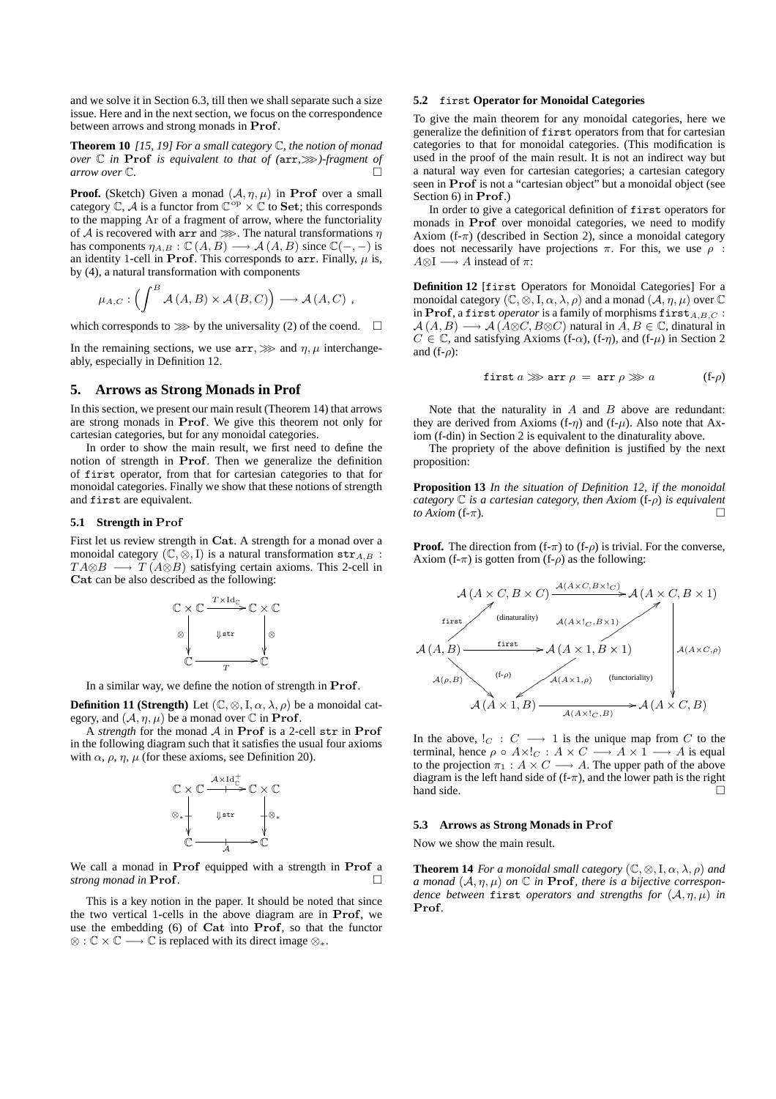and we solve it in Section 6.3, till then we shall separate such a size issue. Here and in the next section, we focus on the correspondence between arrows and strong monads in **Prof**.

**Theorem 10** *[15, 19] For a small category* C*, the notion of monad over* C *in* **Prof** *is equivalent to that of (*arr*,>>>)-fragment of arrow over* C*.*

**Proof.** (Sketch) Given a monad  $(A, \eta, \mu)$  in **Prof** over a small category  $\mathbb{C}$ ,  $\mathcal{A}$  is a functor from  $\mathbb{C}^{\text{op}} \times \mathbb{C}$  to **Set**; this corresponds to the mapping Ar of a fragment of arrow, where the functoriality of *A* is recovered with arr and  $\gg$ . The natural transformations  $\eta$ has components  $\eta_{A,B}: \mathbb{C}(A, B) \longrightarrow \mathcal{A}(A, B)$  since  $\mathbb{C}(-, -)$  is an identity 1-cell in **Prof**. This corresponds to  $\arctan x$ . Finally,  $\mu$  is, by (4), a natural transformation with components

$$
\mu_{A,C}: \left(\int^B \mathcal{A}(A,B) \times \mathcal{A}(B,C)\right) \longrightarrow \mathcal{A}(A,C) ,
$$

which corresponds to  $\gg$  by the universality (2) of the coend.  $\Box$ 

In the remaining sections, we use  $\text{arr}, \gg \gg$  and  $\eta, \mu$  interchangeably, especially in Definition 12.

# **5. Arrows as Strong Monads in Prof**

In this section, we present our main result (Theorem 14) that arrows are strong monads in **Prof**. We give this theorem not only for cartesian categories, but for any monoidal categories.

In order to show the main result, we first need to define the notion of strength in **Prof**. Then we generalize the definition of first operator, from that for cartesian categories to that for monoidal categories. Finally we show that these notions of strength and first are equivalent.

#### **5.1 Strength in Prof**

First let us review strength in **Cat**. A strength for a monad over a monoidal category  $(\mathbb{C}, \otimes, I)$  is a natural transformation  $str_{A,B}$ :  $TA\otimes B \longrightarrow T(A\otimes B)$  satisfying certain axioms. This 2-cell in **Cat** can be also described as the following:

$$
\begin{array}{ccc}\n\mathbb{C} & \times & \mathbb{C} \xrightarrow{\text{$T$}\times \text{Id}_{\mathbb{C}} } \mathbb{C} \times \mathbb{C} \\
& & \downarrow_{\text{str}} & & \downarrow_{\mathbb{R}} \\
& & \mathbb{C} \xrightarrow{\text{$T$}}} & & \mathbb{C}\n\end{array}
$$

In a similar way, we define the notion of strength in **Prof**.

**Definition 11 (Strength)** Let  $(\mathbb{C}, \otimes, I, \alpha, \lambda, \rho)$  be a monoidal category, and  $(A, \eta, \mu)$  be a monad over  $\mathbb C$  in **Prof**.

A *strength* for the monad *A* in **Prof** is a 2-cell str in **Prof** in the following diagram such that it satisfies the usual four axioms with  $\alpha$ ,  $\rho$ ,  $\eta$ ,  $\mu$  (for these axioms, see Definition 20).

$$
\begin{array}{ccc}\n\mathbb{C} \times \mathbb{C} & \xrightarrow{\mathcal{A} \times \mathrm{Id}^+_{\mathbb{C}}} \mathbb{C} \times \mathbb{C} \\
&\downarrow^{\mathcal{B} \times \mathbb{C}} & \downarrow^{\mathcal{B} \times \mathbb{C}} \\
&\downarrow^{\mathcal{B} \times \mathbb{C}} & \downarrow^{\mathcal{B} \times \mathbb{C}} \\
&\downarrow^{\mathcal{B} \times \mathbb{C}} &\downarrow^{\mathcal{B} \times \mathbb{C}}\n\end{array}
$$

We call a monad in **Prof** equipped with a strength in **Prof** a *strong monad in* **Prof**.

This is a key notion in the paper. It should be noted that since the two vertical 1-cells in the above diagram are in **Prof**, we use the embedding (6) of **Cat** into **Prof**, so that the functor *⊗* : C *×* C *−→* C is replaced with its direct image *⊗∗*.

#### **5.2** first **Operator for Monoidal Categories**

To give the main theorem for any monoidal categories, here we generalize the definition of first operators from that for cartesian categories to that for monoidal categories. (This modification is used in the proof of the main result. It is not an indirect way but a natural way even for cartesian categories; a cartesian category seen in **Prof** is not a "cartesian object" but a monoidal object (see Section 6) in **Prof**.)

In order to give a categorical definition of first operators for monads in **Prof** over monoidal categories, we need to modify Axiom (f-*π*) (described in Section 2), since a monoidal category does not necessarily have projections *π*. For this, we use *ρ* :  $A \otimes I \longrightarrow A$  instead of  $\pi$ :

**Definition 12** [first Operators for Monoidal Categories] For a monoidal category  $(\mathbb{C}, \otimes, I, \alpha, \lambda, \rho)$  and a monad  $(\mathcal{A}, \eta, \mu)$  over  $\mathbb{C}$ in **Prof**, a first *operator* is a family of morphisms first*A,B,C* : *A* (*A, B*)  $\longrightarrow$  *A* (*A*⊗*C, B*⊗*C*) natural in *A, B* ∈ *C, dinatural in C*  $\in \mathbb{C}$ , and satisfying Axioms (f- $\alpha$ ), (f- $\eta$ ), and (f- $\mu$ ) in Section 2 and (f-*ρ*):

$$
first a \ggarr \rho = arr \rho \gg a \qquad (f-\rho)
$$

Note that the naturality in *A* and *B* above are redundant: they are derived from Axioms (f- $\eta$ ) and (f- $\mu$ ). Also note that Axiom (f-din) in Section 2 is equivalent to the dinaturality above.

The propriety of the above definition is justified by the next proposition:

**Proposition 13** *In the situation of Definition 12, if the monoidal category* C *is a cartesian category, then Axiom* (f-*ρ*) *is equivalent to Axiom* (f-*π*)*.*

**Proof.** The direction from  $(f-\pi)$  to  $(f-\rho)$  is trivial. For the converse, Axiom (f- $\pi$ ) is gotten from (f- $\rho$ ) as the following:

$$
\mathcal{A}(A \times C, B \times C) \xrightarrow{\mathcal{A}(A \times C, B \times 1_C)} \mathcal{A}(A \times C, B \times 1)
$$
\nfirst  
\n(dinaturally)  
\n
$$
\mathcal{A}(A \times 1, B \times 1)
$$
\n
$$
\mathcal{A}(A \times 1, B \times 1)
$$
\n
$$
\mathcal{A}(\rho, B) \xrightarrow{\text{first} \to} \mathcal{A}(A \times 1, B \times 1)
$$
\n
$$
\mathcal{A}(\rho, B) \xrightarrow{\text{(f-p)}} \mathcal{A}(A \times 1, \rho) \xrightarrow{\text{(functoriality)}} \mathcal{A}(A \times C, B)
$$

In the above,  $!_C : C \longrightarrow 1$  is the unique map from *C* to the terminal, hence  $\rho \circ A \times I_C : A \times C \longrightarrow A \times I \longrightarrow A$  is equal to the projection  $\pi_1 : A \times C \longrightarrow A$ . The upper path of the above diagram is the left hand side of  $(f-\pi)$ , and the lower path is the right hand side.

## **5.3 Arrows as Strong Monads in Prof**

Now we show the main result.

**Theorem 14** *For a monoidal small category*  $(\mathbb{C}, \otimes, I, \alpha, \lambda, \rho)$  *and a* monad  $(A, \eta, \mu)$  on  $\mathbb C$  *in* **Prof***, there is a bijective correspondence between* first *operators and strengths for* (*A, η, µ*) *in* **Prof***.*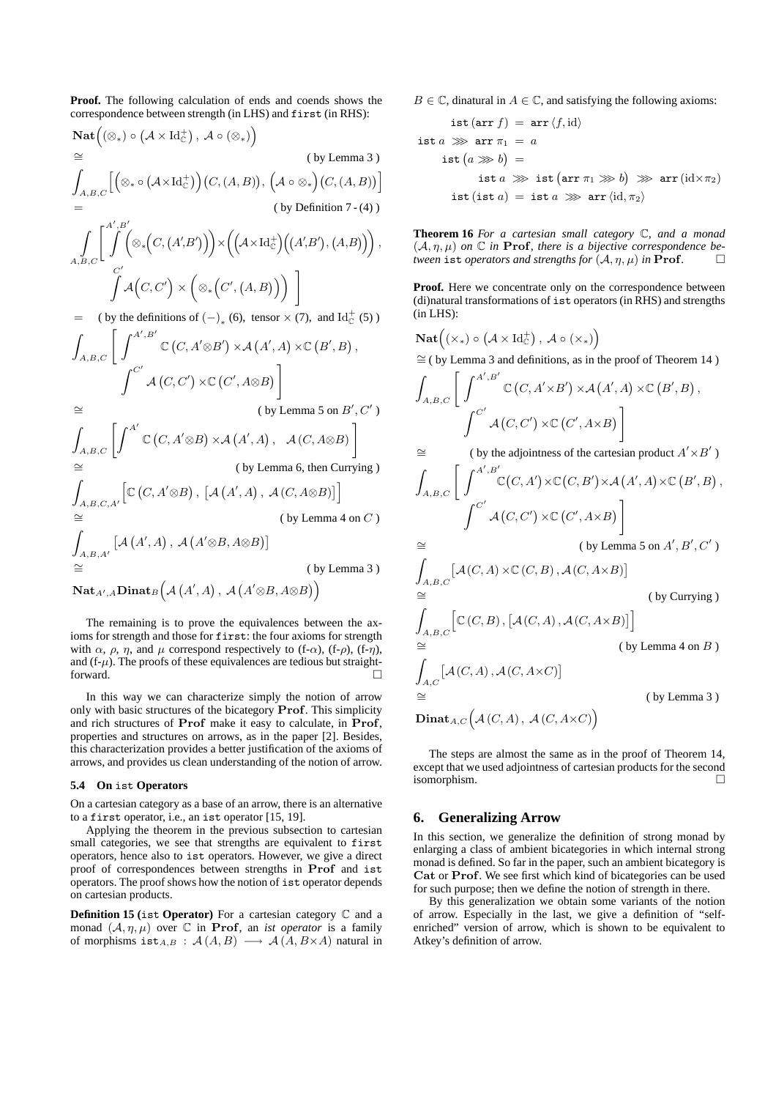**Proof.** The following calculation of ends and coends shows the correspondence between strength (in LHS) and first (in RHS):

$$
\operatorname{Nat}((\otimes_*) \circ (\mathcal{A} \times \operatorname{Id}_{\mathbb{C}}^+), \mathcal{A} \circ (\otimes_*)
$$
\n
$$
\cong
$$
\n
$$
\int_{A,B,C} [(\otimes_* \circ (\mathcal{A} \times \operatorname{Id}_{\mathbb{C}}^+)) (C, (A, B)), (\mathcal{A} \circ \otimes_*) (C, (A, B))]
$$
\n
$$
=
$$
\n
$$
\int_{A,B,C} \left[ \int_{0}^{A',B'} (\otimes_* (C, (A',B'))) \times ((\mathcal{A} \times \operatorname{Id}_{\mathbb{C}}^+)( (A',B'), (A,B)) ) \right],
$$
\n
$$
\int_{A,B,C}^{C'} \left[ \mathcal{A} (C, C') \times (\otimes_* (C', (A, B)) ) \right]
$$
\n
$$
= (\text{by the definitions of } (-)_*(6), \text{ tensor } \times (7), \text{ and } \operatorname{Id}_{\mathbb{C}}^+(5))
$$
\n
$$
\int_{A,B,C} \left[ \int_{0}^{A',B'} \mathbb{C} (C, A' \otimes B') \times \mathcal{A} (A', A) \times \mathbb{C} (B', B),
$$
\n
$$
\int_{0}^{C'} \mathcal{A} (C, C') \times \mathbb{C} (C', A \otimes B) \right]
$$
\n
$$
\cong
$$
\n
$$
(\text{by Lemma 5 on } B', C')
$$
\n
$$
\int_{A,B,C} \left[ \int_{0}^{A'} \mathbb{C} (C, A' \otimes B) \times \mathcal{A} (A', A), \mathcal{A} (C, A \otimes B) \right]
$$
\n
$$
\cong
$$
\n
$$
\int_{A,B,C,A'} [C (C, A' \otimes B), [A (A', A), \mathcal{A} (C, A \otimes B)] ] \right]
$$
\n
$$
\cong
$$
\n
$$
\int_{A,B,A',A} [A (A', A), A (A' \otimes B, A \otimes B)]
$$
\n
$$
\cong
$$
\n
$$
\operatorname{by Lemma 3})
$$
\n
$$
\operatorname{Mat}_{A',A} \operatorname{Dinat}_{B} (A (A', A), A (A' \otimes B, A \otimes B) )
$$

The remaining is to prove the equivalences between the axioms for strength and those for first: the four axioms for strength with  $\alpha$ ,  $\rho$ ,  $\eta$ , and  $\mu$  correspond respectively to (f- $\alpha$ ), (f- $\rho$ ), (f- $\eta$ ), and  $(f-\mu)$ . The proofs of these equivalences are tedious but straightforward.  $\Box$ 

In this way we can characterize simply the notion of arrow only with basic structures of the bicategory **Prof**. This simplicity and rich structures of **Prof** make it easy to calculate, in **Prof**, properties and structures on arrows, as in the paper [2]. Besides, this characterization provides a better justification of the axioms of arrows, and provides us clean understanding of the notion of arrow.

#### **5.4 On** ist **Operators**

On a cartesian category as a base of an arrow, there is an alternative to a first operator, i.e., an ist operator [15, 19].

Applying the theorem in the previous subsection to cartesian small categories, we see that strengths are equivalent to first operators, hence also to ist operators. However, we give a direct proof of correspondences between strengths in **Prof** and ist operators. The proof shows how the notion of ist operator depends on cartesian products.

**Definition 15 (**ist **Operator)** For a cartesian category C and a monad  $(A, \eta, \mu)$  over  $\mathbb C$  in **Prof**, an *ist operator* is a family of morphisms  $\text{ist}_{A,B} : \mathcal{A}(A,B) \longrightarrow \mathcal{A}(A,B \times A)$  natural in *B*  $\in \mathbb{C}$ , dinatural in *A*  $\in \mathbb{C}$ , and satisfying the following axioms:

$$
ist(arr f) = arr \langle f, id \rangle
$$
  
\n
$$
ist a \gg \text{arr } \pi_1 = a
$$
  
\n
$$
ist(a \gg b) =
$$
  
\n
$$
ist a \gg \text{ist(arr } \pi_1 \gg b) \gg \text{arr}(id \times \pi_2)
$$
  
\n
$$
ist(ist a) = ist a \gg \text{arr}\langle id, \pi_2 \rangle
$$

**Theorem 16** *For a cartesian small category* C*, and a monad*  $(A, \eta, \mu)$  *on*  $\mathbb C$  *in* **Prof***, there is a bijective correspondence be-<br>tween ist operators and strengths for*  $(A, n, \mu)$  *in* **Prof** *tween* ist *operators and strengths for*  $(A, \eta, \mu)$  *in* **Prof***.* 

**Proof.** Here we concentrate only on the correspondence between (di)natural transformations of ist operators (in RHS) and strengths  $(in$  LHS $):$ 

$$
\begin{aligned}\n\textbf{Nat}\Big((\times_*) \circ (\mathcal{A} \times \text{Id}_{\mathbb{C}}^+), \ \mathcal{A} \circ (\times_*)\Big) \\
&\cong (\text{ by Lemma 3 and definitions, as in the proof of Theorem 14}) \\
\int_{A,B,C} \left[ \int^{A',B'} \mathbb{C}\left(C, A' \times B'\right) \times \mathcal{A}\left(A',A\right) \times \mathbb{C}\left(B',B\right), \right. \\
\int^{C'} \mathcal{A}\left(C, C'\right) \times \mathbb{C}\left(C', A \times B\right) \right] \\
&\cong \qquad (\text{ by the adjointness of the cartesian product } A' \times B') \\
\int_{A,B,C} \left[ \int^{A',B'} \mathbb{C}\left(C, A'\right) \times \mathbb{C}\left(C, B'\right) \times \mathcal{A}\left(A', A\right) \times \mathbb{C}\left(B',B\right), \right.\n\end{aligned}
$$

$$
\int_{A,B,C}^{A,B,C} \left[ \int_{C'}^{C'} \mathcal{A}(C,C') \times \mathbb{C}(C',A \times B) \right]
$$
  
\n
$$
\cong \qquad \qquad (\text{by Lemma 5 on } A',B',C')
$$

$$
\int_{A,B,C} \left[ \mathcal{A}(C,A) \times \mathbb{C}(C,B), \mathcal{A}(C,A \times B) \right]
$$
\n
$$
\cong
$$
\n
$$
\int_{A,B,C} \left[ \mathbb{C}(C,B), \left[ \mathcal{A}(C,A), \mathcal{A}(C,A \times B) \right] \right]
$$
\n
$$
\cong
$$
\n
$$
\int_{A,C} \left[ \mathcal{A}(C,A), \mathcal{A}(C,A \times C) \right]
$$
\n
$$
\cong
$$
\n(by Lemma 4 on B)\n
$$
\cong
$$
\n(by Lemma 3)

 $\mathbf{Dinat}_{A,C} \big( \mathcal{A}\left(C,A\right),\ \mathcal{A}\left(C,A\times C\right) \big)$ 

The steps are almost the same as in the proof of Theorem 14, except that we used adjointness of cartesian products for the second isomorphism.

# **6. Generalizing Arrow**

In this section, we generalize the definition of strong monad by enlarging a class of ambient bicategories in which internal strong monad is defined. So far in the paper, such an ambient bicategory is **Cat** or **Prof**. We see first which kind of bicategories can be used for such purpose; then we define the notion of strength in there.

By this generalization we obtain some variants of the notion of arrow. Especially in the last, we give a definition of "selfenriched" version of arrow, which is shown to be equivalent to Atkey's definition of arrow.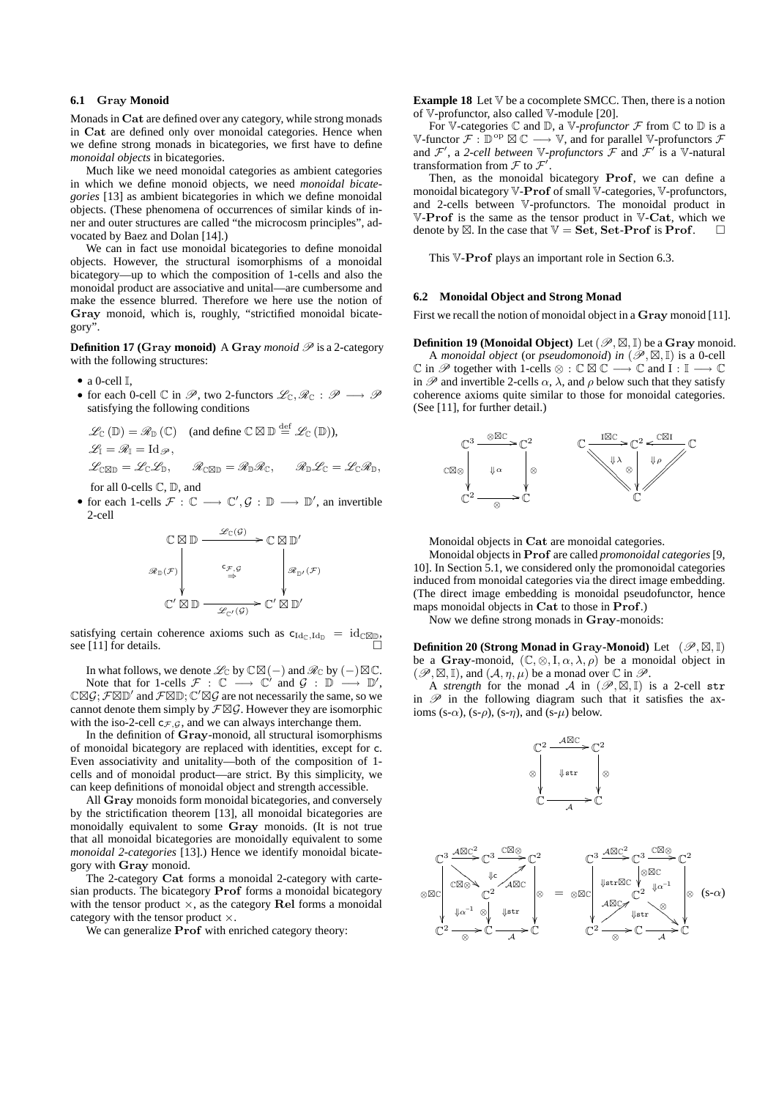## **6.1 Gray Monoid**

Monads in **Cat** are defined over any category, while strong monads in **Cat** are defined only over monoidal categories. Hence when we define strong monads in bicategories, we first have to define *monoidal objects* in bicategories.

Much like we need monoidal categories as ambient categories in which we define monoid objects, we need *monoidal bicategories* [13] as ambient bicategories in which we define monoidal objects. (These phenomena of occurrences of similar kinds of inner and outer structures are called "the microcosm principles", advocated by Baez and Dolan [14].)

We can in fact use monoidal bicategories to define monoidal objects. However, the structural isomorphisms of a monoidal bicategory—up to which the composition of 1-cells and also the monoidal product are associative and unital—are cumbersome and make the essence blurred. Therefore we here use the notion of **Gray** monoid, which is, roughly, "strictified monoidal bicategory".

**Definition 17 (Gray monoid)** A **Gray** *monoid P* is a 2-category with the following structures:

- *•* a 0-cell I,
- *•* for each 0-cell  $\mathbb C$  in  $\mathscr P$ , two 2-functors  $\mathscr L_{\mathbb C}, \mathscr R_{\mathbb C} : \mathscr P \longrightarrow \mathscr P$ satisfying the following conditions

$$
\mathcal{L}_{\mathbb{C}}\left(\mathbb{D}\right) = \mathcal{R}_{\mathbb{D}}\left(\mathbb{C}\right) \quad \text{(and define } \mathbb{C} \boxtimes \mathbb{D} \stackrel{\text{def}}{=} \mathcal{L}_{\mathbb{C}}\left(\mathbb{D}\right),\mathcal{L}_{1} = \mathcal{R}_{1} = \operatorname{Id}_{\mathscr{P}},\mathcal{L}_{\mathbb{C}} \boxtimes \mathbb{D} = \mathcal{L}_{\mathbb{C}} \mathcal{L}_{\mathbb{D}}, \qquad \mathcal{R}_{\mathbb{C}} \boxtimes \mathbb{D} = \mathcal{R}_{\mathbb{D}} \mathcal{R}_{\mathbb{C}}, \qquad \mathcal{R}_{\mathbb{D}} \mathcal{L}_{\mathbb{C}} = \mathcal{L}_{\mathbb{C}} \mathcal{R}_{\mathbb{D}},
$$

for all 0-cells C, D, and

*•* for each 1-cells *F* : C *−→* C *′ , G* : D *−→* D *′* , an invertible 2-cell

$$
\begin{array}{ccc}\n\mathbb{C} \boxtimes \mathbb{D} & \xrightarrow{\mathscr{L}_{\mathbb{C}}(\mathcal{G})} \rightarrow \mathbb{C} \boxtimes \mathbb{D}' \\
\mathscr{R}_{\mathbb{D}}(\mathcal{F}) & & \xrightarrow{c_{\mathcal{F}, \mathcal{G}}} & & \mathscr{R}_{\mathbb{D}'}(\mathcal{F}) \\
& & \xrightarrow{\mathbb{C}'} \boxtimes \mathbb{D} & & \xrightarrow{\mathscr{L}_{\mathbb{C}'}(\mathcal{G})} \mathbb{C}' \boxtimes \mathbb{D}'\n\end{array}
$$

satisfying certain coherence axioms such as  $c_{Id_C,Id_D} = id_{\mathbb{C} \boxtimes \mathbb{D}}$ , see [11] for details.

In what follows, we denote  $\mathscr{L}_{\mathbb{C}}$  by  $\mathbb{C}\boxtimes (-)$  and  $\mathscr{R}_{\mathbb{C}}$  by  $(-)\boxtimes \mathbb{C}.$ Note that for 1-cells  $\mathcal{F}$  :  $\mathbb{C}$   $\longrightarrow$   $\mathbb{C}'$  and  $\mathcal{G}$  :  $\mathbb{D}$   $\longrightarrow$   $\mathbb{D}',$  $\mathbb{C}\mathbb{Z} \mathcal{G};$   $\mathcal{F}\mathbb{Z}\mathbb{D}'$  and  $\mathcal{F}\mathbb{Z}\mathbb{D};$   $\mathbb{C}'\mathbb{Z}\mathcal{G}$  are not necessarily the same, so we cannot denote them simply by  $\mathcal{F}\boxtimes\mathcal{G}$ . However they are isomorphic with the iso-2-cell  $c_{\mathcal{F},\mathcal{G}}$ , and we can always interchange them.

In the definition of **Gray**-monoid, all structural isomorphisms of monoidal bicategory are replaced with identities, except for c. Even associativity and unitality—both of the composition of 1 cells and of monoidal product—are strict. By this simplicity, we can keep definitions of monoidal object and strength accessible.

All **Gray** monoids form monoidal bicategories, and conversely by the strictification theorem [13], all monoidal bicategories are monoidally equivalent to some **Gray** monoids. (It is not true that all monoidal bicategories are monoidally equivalent to some *monoidal 2-categories* [13].) Hence we identify monoidal bicategory with **Gray** monoid.

The 2-category **Cat** forms a monoidal 2-category with cartesian products. The bicategory **Prof** forms a monoidal bicategory with the tensor product *×*, as the category **Rel** forms a monoidal category with the tensor product *×*.

We can generalize **Prof** with enriched category theory:

**Example 18** Let  $V$  be a cocomplete SMCC. Then, there is a notion of V-profunctor, also called V-module [20].

For V-categories  $\mathbb C$  and  $\mathbb D$ , a V-profunctor  $\mathcal F$  from  $\mathbb C$  to  $\mathbb D$  is a V-functor  $\mathcal{F}: \mathbb{D}^{\text{op}} \boxtimes \mathbb{C} \longrightarrow \mathbb{V}$ , and for parallel V-profunctors  $\mathcal{F}$ and  $\mathcal{F}'$ , a 2-*cell between*  $\mathbb{V}$ -*profunctors*  $\mathcal{F}$  and  $\mathcal{F}'$  is a  $\mathbb{V}$ -natural transformation from *F* to *F ′* .

Then, as the monoidal bicategory **Prof**, we can define a monoidal bicategory V-**Prof** of small V-categories, V-profunctors, and 2-cells between V-profunctors. The monoidal product in V-**Prof** is the same as the tensor product in V-**Cat**, which we denote by  $\boxtimes$ . In the case that  $\mathbb{V} = \mathbf{Set}$ ,  $\mathbf{Set\text{-}Prof}$  is  $\mathbf{Prof.}$ 

This V-**Prof** plays an important role in Section 6.3.

# **6.2 Monoidal Object and Strong Monad**

First we recall the notion of monoidal object in a **Gray** monoid [11].

 $\bf{Definition~19~(Monoidal~Object)}$  Let  $(\mathscr{P}, \boxtimes, \mathbb{I})$  be a  $\bf{Gray~monoid.}$ A *monoidal object* (or *pseudomonoid*) *in*  $(\mathscr{P}, \boxtimes, \mathbb{I})$  is a 0-cell  $\mathbb C$  in  $\mathscr P$  together with 1-cells  $\otimes : \mathbb C \boxtimes \mathbb C \longrightarrow \mathbb C$  and  $I : \mathbb I \longrightarrow \mathbb C$ in  $\mathscr P$  and invertible 2-cells  $\alpha$ ,  $\lambda$ , and  $\rho$  below such that they satisfy coherence axioms quite similar to those for monoidal categories. (See [11], for further detail.)



Monoidal objects in **Cat** are monoidal categories.

Monoidal objects in **Prof** are called *promonoidal categories*[9, 10]. In Section 5.1, we considered only the promonoidal categories induced from monoidal categories via the direct image embedding. (The direct image embedding is monoidal pseudofunctor, hence maps monoidal objects in **Cat** to those in **Prof**.)

Now we define strong monads in **Gray**-monoids:

**Definition 20 (Strong Monad in Gray-Monoid)** Let  $(\mathscr{P}, \boxtimes, \mathbb{I})$ be a **Gray**-monoid,  $(\mathbb{C}, \otimes, I, \alpha, \lambda, \rho)$  be a monoidal object in  $(\mathscr{P}, \boxtimes, \mathbb{I})$ , and  $(\mathcal{A}, \eta, \mu)$  be a monad over  $\mathbb{C}$  in  $\mathscr{P}$ .

A *strength* for the monad  $\mathcal A$  in  $(\mathscr P,\boxtimes,\mathbb I)$  is a 2-cell str in  $\mathscr P$  in the following diagram such that it satisfies the axioms (s- $\alpha$ ), (s- $\rho$ ), (s- $\eta$ ), and (s- $\mu$ ) below.



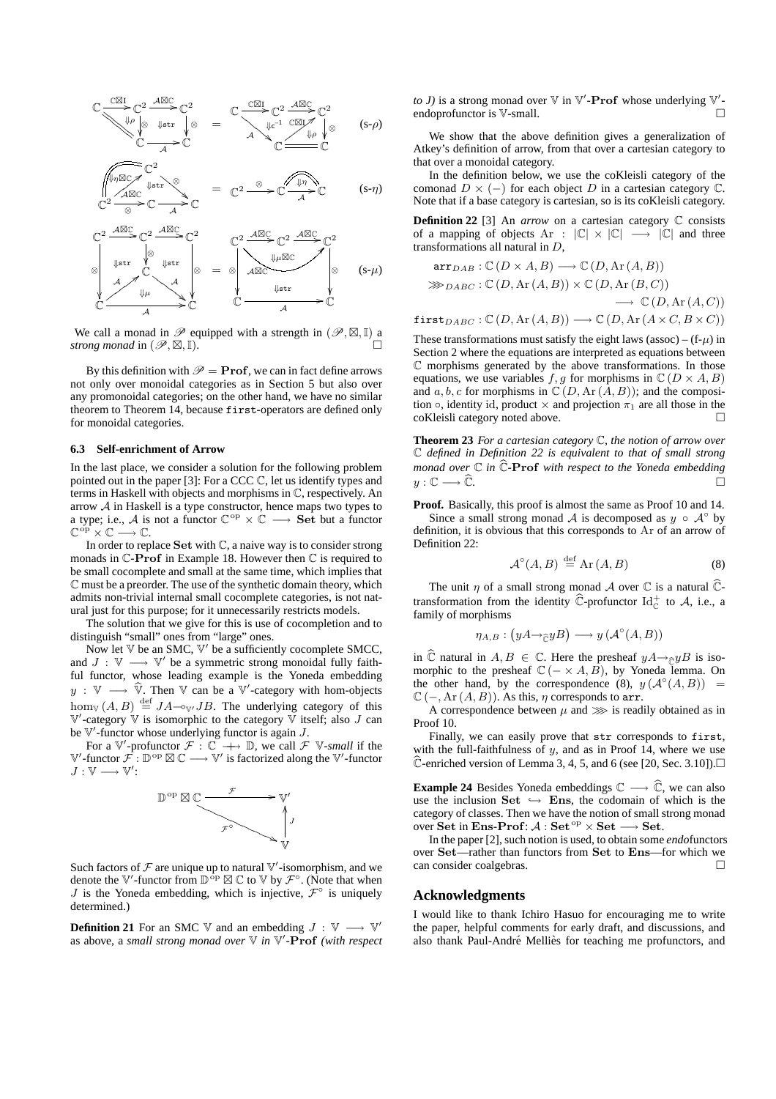$$
\mathbb{C}\frac{\mathbb{C}\mathbb{Z}I}{\sqrt{\mathbb{Z}^2}\int_{\mathbb{C}}^2 2 \xrightarrow{\mathcal{A}\mathbb{Z}C} \mathbb{C}^2} = \frac{\mathbb{C}\frac{\mathbb{C}\mathbb{Z}I}{\mathbb{C}^2} \mathbb{C}^2 \xrightarrow{\mathcal{A}\mathbb{Z}C} \mathbb{C}^2}{\mathbb{Z}^2 \int_{\mathbb{C}}^2 \mathbb{C} \mathbb{Z}I_{\mathbb{A}} \sqrt{\mathbb{C}^2} \text{ (s-\rho)}
$$

$$
\begin{array}{ccc}\n\sqrt{\sqrt[4]{n\omega_{C}}}\sqrt{C^{2}} & & & \\
\sqrt{\sqrt[4]{n\omega_{C}}}\sqrt{C} & & & \\
\sqrt{C^{2}} & & & \n\end{array} \qquad \qquad = \quad\n\mathbb{C}^{2} \xrightarrow{\otimes} \mathbb{C} \xrightarrow{\sqrt{4n}} \mathbb{C} \qquad (s-\eta)
$$



We call a monad in  $\mathscr P$  equipped with a strength in  $(\mathscr P,\boxtimes,\mathbb I)$  a *strong monad* in  $(\mathcal{P}, \boxtimes, \mathbb{I})$ . *,*I).

By this definition with  $\mathcal{P} = \textbf{Prof}$ , we can in fact define arrows not only over monoidal categories as in Section 5 but also over any promonoidal categories; on the other hand, we have no similar theorem to Theorem 14, because first-operators are defined only for monoidal categories.

#### **6.3 Self-enrichment of Arrow**

In the last place, we consider a solution for the following problem pointed out in the paper [3]: For a CCC C, let us identify types and terms in Haskell with objects and morphisms in C, respectively. An arrow *A* in Haskell is a type constructor, hence maps two types to a type; i.e., *A* is not a functor  $\mathbb{C}^{\text{op}} \times \mathbb{C} \longrightarrow$  **Set** but a functor C op *×* C *−→* C.

In order to replace **Set** with C, a naive way is to consider strong monads in C-**Prof** in Example 18. However then C is required to be small cocomplete and small at the same time, which implies that C must be a preorder. The use of the synthetic domain theory, which admits non-trivial internal small cocomplete categories, is not natural just for this purpose; for it unnecessarily restricts models.

The solution that we give for this is use of cocompletion and to distinguish "small" ones from "large" ones.

Now let  $V$  be an SMC,  $V'$  be a sufficiently cocomplete SMCC, and *J* :  $\mathbb{V}$  →  $\mathbb{V}'$  be a symmetric strong monoidal fully faithful functor, whose leading example is the Yoneda embedding *y* :  $\mathbb{V}$  →  $\mathbb{V}$ . Then  $\mathbb{V}$  can be a  $\mathbb{V}'$ -category with hom-objects  $hom_{\mathbb{V}}(A, B) \stackrel{\text{def}}{=} J A - \circ_{\mathbb{V'}} J B$ . The underlying category of this V *′* -category V is isomorphic to the category V itself; also *J* can be V *′* -functor whose underlying functor is again *J*.

For a  $\mathbb{V}'$ -profunctor  $\mathcal{F}: \mathbb{C} \longrightarrow \mathbb{D}$ , we call  $\mathcal{F}$   $\mathbb{V}$ -*small* if the V *′* -functor *F* : D op - C *−→* V *′* is factorized along the V *′* -functor *J* : V *−→* V *′* :



Such factors of  ${\mathcal F}$  are unique up to natural  ${\mathbb V}'$ -isomorphism, and we denote the  $\mathbb{V}'$ -functor from  $\mathbb{D}^{\text{op}} \boxtimes \mathbb{C}$  to  $\mathbb{V}$  by  $\mathcal{F}^{\circ}$ . (Note that when *J* is the Yoneda embedding, which is injective,  $\mathcal{F}^{\circ}$  is uniquely determined.)

**Definition 21** For an SMC  $\mathbb{V}$  and an embedding *J* :  $\mathbb{V}$  →  $\mathbb{V}'$ as above, a *small strong monad over* V *in* V *′ -***Prof** *(with respect*

*to J*) is a strong monad over **V** in **V'**-**Prof** whose underlying **V'**endoprofunctor is V-small.

We show that the above definition gives a generalization of Atkey's definition of arrow, from that over a cartesian category to that over a monoidal category.

In the definition below, we use the coKleisli category of the comonad  $D \times (-)$  for each object *D* in a cartesian category  $\mathbb{C}$ . Note that if a base category is cartesian, so is its coKleisli category.

**Definition 22** [3] An *arrow* on a cartesian category C consists of a mapping of objects Ar : *|*C*| × |*C*| −→ |*C*|* and three transformations all natural in *D*,

$$
\operatorname{arr}_{DAB} : \mathbb{C}(D \times A, B) \longrightarrow \mathbb{C}(D, \operatorname{Ar}(A, B))
$$
  
\n
$$
\gg_{DABC} : \mathbb{C}(D, \operatorname{Ar}(A, B)) \times \mathbb{C}(D, \operatorname{Ar}(B, C))
$$
  
\n
$$
\longrightarrow \mathbb{C}(D, \operatorname{Ar}(A, C))
$$
  
\nfirst<sub>DABC</sub> :  $\mathbb{C}(D, \operatorname{Ar}(A, B)) \longrightarrow \mathbb{C}(D, \operatorname{Ar}(A \times C, B \times C))$ 

These transformations must satisfy the eight laws (assoc) –  $(f-\mu)$  in Section 2 where the equations are interpreted as equations between  $\mathbb C$  morphisms generated by the above transformations. In those equations, we use variables  $f, g$  for morphisms in  $\mathbb{C}$  ( $D \times A, B$ ) and  $a, b, c$  for morphisms in  $\mathbb{C}(D, \text{Ar}(A, B))$ ; and the composition  $\circ$ , identity id, product  $\times$  and projection  $\pi_1$  are all those in the coKleisli category noted above.

**Theorem 23** *For a cartesian category* C*, the notion of arrow over* C *defined in Definition 22 is equivalent to that of small strong monad over*  $\mathbb C$  *in*  $\widehat{\mathbb C}$ **-Prof** *with respect to the Yoneda embedding*<br> $\eta : \mathbb C \longrightarrow \widehat{\mathbb C}$ *y* :  $\mathbb{C}$  →  $\widehat{\mathbb{C}}$ *.* 

**Proof.** Basically, this proof is almost the same as Proof 10 and 14. Since a small strong monad *A* is decomposed as  $y \circ A^{\circ}$  by definition, it is obvious that this corresponds to Ar of an arrow of Definition 22:

$$
\mathcal{A}^{\circ}(A,B) \stackrel{\text{def}}{=} \text{Ar}(A,B) \tag{8}
$$

The unit  $\eta$  of a small strong monad *A* over  $\mathbb C$  is a natural  $\mathbb C$ transformation from the identity  $\widehat{\mathbb{C}}$ -profunctor Id<sub> $\mathbb{C}$ </sub> to *A*, i.e., a family of morphisms

$$
\eta_{A,B}:\big(yA{\to}_{\widehat{\mathbb{C}}}yB\big)\longrightarrow y\left(\mathcal{A}^\circ(A,B)\right)
$$

in  $\widehat{\mathbb{C}}$  natural in  $A, B \in \mathbb{C}$ . Here the presheaf  $yA \rightarrow_{\widehat{\mathbb{C}}} yB$  is isomorphic to the presheaf  $\mathbb{C}$  ( $\rightarrow \mathbb{A}, \mathbb{B}$ ), by Yoneda lemma. On the other hand, by the correspondence  $(8)$ ,  $y(A^{\circ}(A,B))$  =  $\mathbb{C}$  (*−,* Ar (*A, B*)). As this,  $\eta$  corresponds to arr.

A correspondence between  $\mu$  and  $\gg$  is readily obtained as in Proof 10.

Finally, we can easily prove that str corresponds to first, with the full-faithfulness of *y*, and as in Proof 14, where we use  $\widehat{\mathbb{C}}$ -enriched version of Lemma 3, 4, 5, and 6 (see [20, Sec. 3.10]).

**Example 24** Besides Yoneda embeddings  $\mathbb{C}$  →  $\widehat{\mathbb{C}}$ , we can also use the inclusion  $\textbf{Set} \hookrightarrow \textbf{Ens}$ , the codomain of which is the category of classes. Then we have the notion of small strong monad  $over \text{Set}$  in **Ens**-**Prof**:  $A$  :  $\text{Set}$ <sup>op</sup>  $\times$  **Set** → **Set**.

In the paper [2], such notion is used, to obtain some *endo*functors over **Set**—rather than functors from **Set** to **Ens**—for which we can consider coalgebras.

#### **Acknowledgments**

I would like to thank Ichiro Hasuo for encouraging me to write the paper, helpful comments for early draft, and discussions, and also thank Paul-André Melliès for teaching me profunctors, and